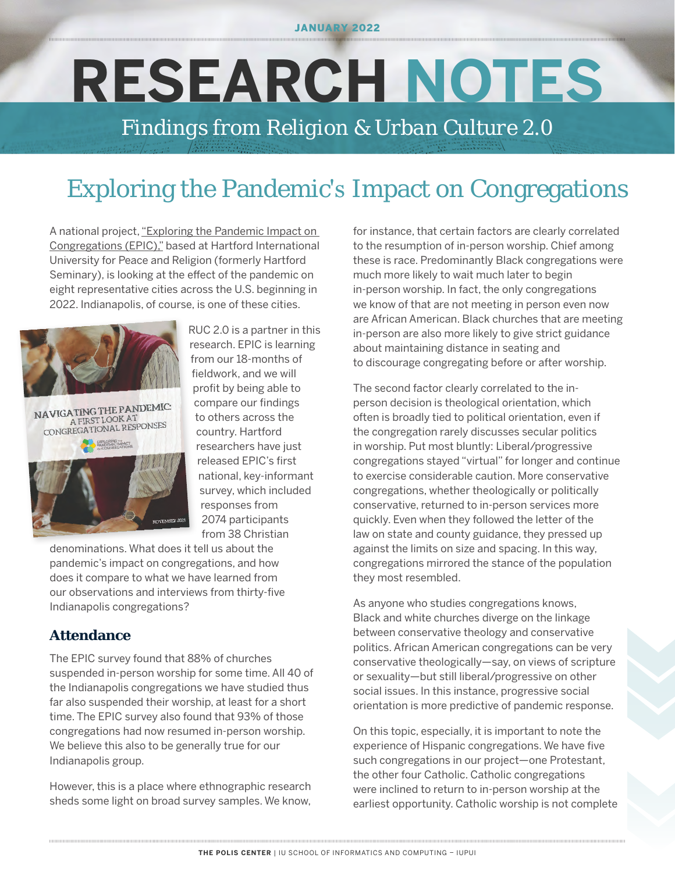JANUARY 2022

# **RESEARCH NOTES**

*Findings from Religion & Urban Culture 2.0*

## Exploring the Pandemic's Impact on Congregations

A national project[, "Exploring the Pandemic Impact on](https://www.covidreligionresearch.org/)  [Congregations \(EPIC\),"](https://www.covidreligionresearch.org/) based at Hartford International University for Peace and Religion (formerly Hartford Seminary), is looking at the effect of the pandemic on eight representative cities across the U.S. beginning in 2022. Indianapolis, of course, is one of these cities.



NAVIGATING THE PANDEMIC: AVIGATING THE FAILER EXPLORING THE

RUC 2.0 is a partner in this research. EPIC is learning from our 18-months of fieldwork, and we will profit by being able to compare our findings to others across the country. Hartford researchers have just released EPIC's first national, key-informant survey, which included responses from 2074 participants from 38 Christian

denominations. What does it tell us about the pandemic's impact on congregations, and how does it compare to what we have learned from our observations and interviews from thirty-five Indianapolis congregations?

#### **Attendance**

The EPIC survey found that 88% of churches suspended in-person worship for some time. All 40 of the Indianapolis congregations we have studied thus far also suspended their worship, at least for a short time. The EPIC survey also found that 93% of those congregations had now resumed in-person worship. We believe this also to be generally true for our Indianapolis group.

However, this is a place where ethnographic research sheds some light on broad survey samples. We know,

for instance, that certain factors are clearly correlated to the resumption of in-person worship. Chief among these is race. Predominantly Black congregations were much more likely to wait much later to begin in-person worship. In fact, the only congregations we know of that are not meeting in person even now are African American. Black churches that are meeting in-person are also more likely to give strict guidance about maintaining distance in seating and to discourage congregating before or after worship.

The second factor clearly correlated to the inperson decision is theological orientation, which often is broadly tied to political orientation, even if the congregation rarely discusses secular politics in worship. Put most bluntly: Liberal/progressive congregations stayed "virtual" for longer and continue to exercise considerable caution. More conservative congregations, whether theologically or politically conservative, returned to in-person services more quickly. Even when they followed the letter of the law on state and county guidance, they pressed up against the limits on size and spacing. In this way, congregations mirrored the stance of the population they most resembled.

As anyone who studies congregations knows, Black and white churches diverge on the linkage between conservative theology and conservative politics. African American congregations can be very conservative theologically—say, on views of scripture or sexuality—but still liberal/progressive on other social issues. In this instance, progressive social orientation is more predictive of pandemic response.

On this topic, especially, it is important to note the experience of Hispanic congregations. We have five such congregations in our project—one Protestant, the other four Catholic. Catholic congregations were inclined to return to in-person worship at the earliest opportunity. Catholic worship is not complete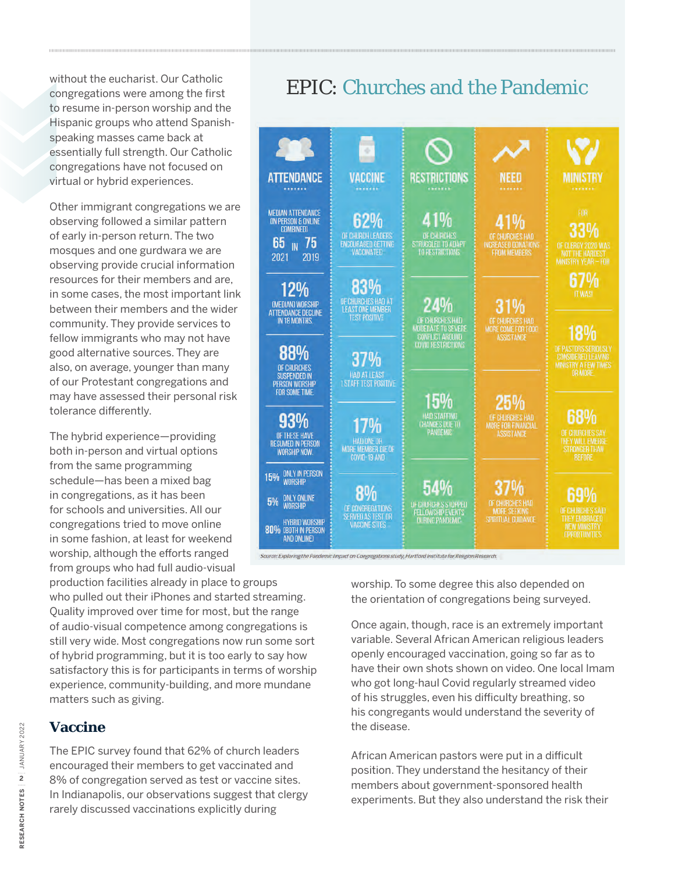without the eucharist. Our Catholic congregations were among the first to resume in-person worship and the Hispanic groups who attend Spanishspeaking masses came back at essentially full strength. Our Catholic congregations have not focused on virtual or hybrid experiences.

Other immigrant congregations we are observing followed a similar pattern of early in-person return. The two mosques and one gurdwara we are observing provide crucial information resources for their members and are, in some cases, the most important link between their members and the wider community. They provide services to fellow immigrants who may not have good alternative sources. They are also, on average, younger than many of our Protestant congregations and may have assessed their personal risk tolerance differently.

The hybrid experience—providing both in-person and virtual options from the same programming schedule—has been a mixed bag in congregations, as it has been for schools and universities. All our congregations tried to move online in some fashion, at least for weekend worship, although the efforts ranged from groups who had full audio-visual

production facilities already in place to groups who pulled out their iPhones and started streaming. Quality improved over time for most, but the range of audio-visual competence among congregations is still very wide. Most congregations now run some sort of hybrid programming, but it is too early to say how satisfactory this is for participants in terms of worship experience, community-building, and more mundane matters such as giving.

#### **Vaccine**

The EPIC survey found that 62% of church leaders encouraged their members to get vaccinated and 8% of congregation served as test or vaccine sites. In Indianapolis, our observations suggest that clergy rarely discussed vaccinations explicitly during

## EPIC: Churches and the Pandemic



worship. To some degree this also depended on the orientation of congregations being surveyed.

Once again, though, race is an extremely important variable. Several African American religious leaders openly encouraged vaccination, going so far as to have their own shots shown on video. One local Imam who got long-haul Covid regularly streamed video of his struggles, even his difficulty breathing, so his congregants would understand the severity of the disease.

African American pastors were put in a difficult position. They understand the hesitancy of their members about government-sponsored health experiments. But they also understand the risk their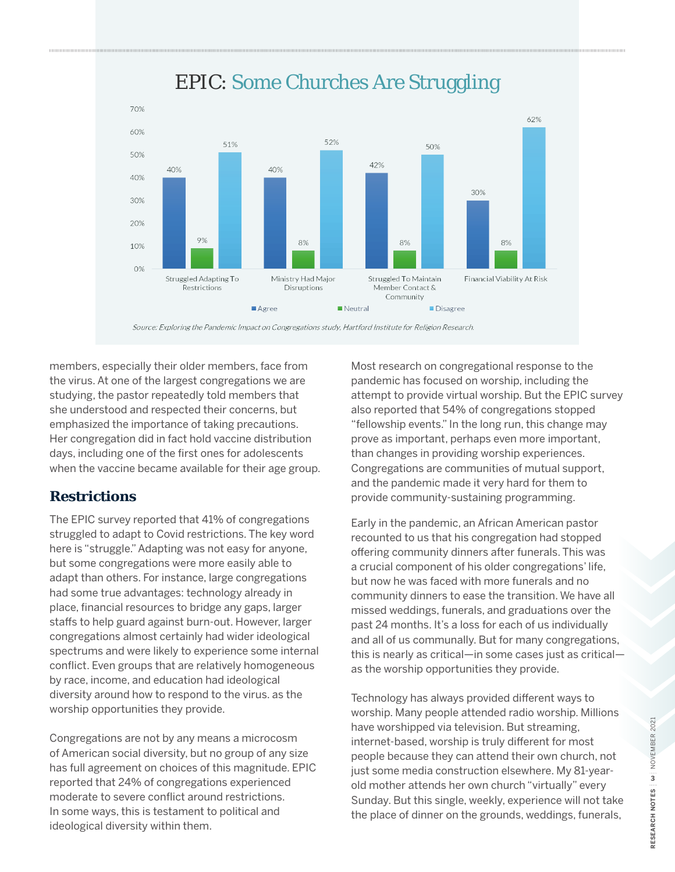

## EPIC: Some Churches Are Struggling

Source: Exploring the Pandemic Impact on Congregations study, Hartford Institute for Religion Research.

members, especially their older members, face from the virus. At one of the largest congregations we are studying, the pastor repeatedly told members that she understood and respected their concerns, but emphasized the importance of taking precautions. Her congregation did in fact hold vaccine distribution days, including one of the first ones for adolescents when the vaccine became available for their age group.

#### **Restrictions**

The EPIC survey reported that 41% of congregations struggled to adapt to Covid restrictions. The key word here is "struggle." Adapting was not easy for anyone, but some congregations were more easily able to adapt than others. For instance, large congregations had some true advantages: technology already in place, financial resources to bridge any gaps, larger staffs to help guard against burn-out. However, larger congregations almost certainly had wider ideological spectrums and were likely to experience some internal conflict. Even groups that are relatively homogeneous by race, income, and education had ideological diversity around how to respond to the virus. as the worship opportunities they provide.

Congregations are not by any means a microcosm of American social diversity, but no group of any size has full agreement on choices of this magnitude. EPIC reported that 24% of congregations experienced moderate to severe conflict around restrictions. In some ways, this is testament to political and ideological diversity within them.

Most research on congregational response to the pandemic has focused on worship, including the attempt to provide virtual worship. But the EPIC survey also reported that 54% of congregations stopped "fellowship events." In the long run, this change may prove as important, perhaps even more important, than changes in providing worship experiences. Congregations are communities of mutual support, and the pandemic made it very hard for them to provide community-sustaining programming.

Early in the pandemic, an African American pastor recounted to us that his congregation had stopped offering community dinners after funerals. This was a crucial component of his older congregations' life, but now he was faced with more funerals and no community dinners to ease the transition. We have all missed weddings, funerals, and graduations over the past 24 months. It's a loss for each of us individually and all of us communally. But for many congregations, this is nearly as critical—in some cases just as critical as the worship opportunities they provide.

Technology has always provided different ways to worship. Many people attended radio worship. Millions have worshipped via television. But streaming, internet-based, worship is truly different for most people because they can attend their own church, not just some media construction elsewhere. My 81-yearold mother attends her own church "virtually" every Sunday. But this single, weekly, experience will not take the place of dinner on the grounds, weddings, funerals,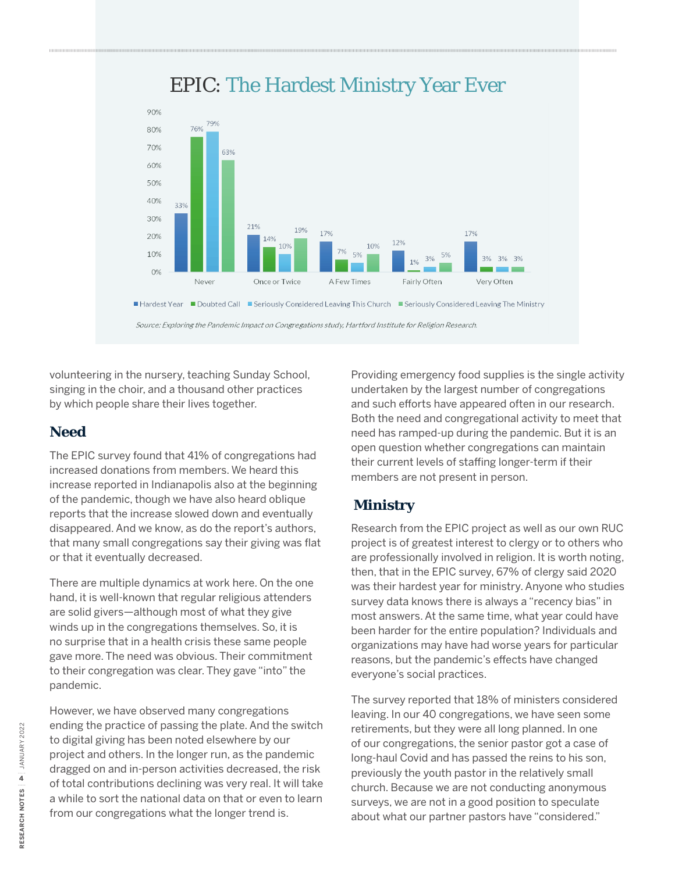

## EPIC: The Hardest Ministry Year Ever

volunteering in the nursery, teaching Sunday School, singing in the choir, and a thousand other practices by which people share their lives together.

#### **Need**

The EPIC survey found that 41% of congregations had increased donations from members. We heard this increase reported in Indianapolis also at the beginning of the pandemic, though we have also heard oblique reports that the increase slowed down and eventually disappeared. And we know, as do the report's authors, that many small congregations say their giving was flat or that it eventually decreased.

There are multiple dynamics at work here. On the one hand, it is well-known that regular religious attenders are solid givers—although most of what they give winds up in the congregations themselves. So, it is no surprise that in a health crisis these same people gave more. The need was obvious. Their commitment to their congregation was clear. They gave "into" the pandemic.

However, we have observed many congregations ending the practice of passing the plate. And the switch to digital giving has been noted elsewhere by our project and others. In the longer run, as the pandemic dragged on and in-person activities decreased, the risk of total contributions declining was very real. It will take a while to sort the national data on that or even to learn from our congregations what the longer trend is.

Providing emergency food supplies is the single activity undertaken by the largest number of congregations and such efforts have appeared often in our research. Both the need and congregational activity to meet that need has ramped-up during the pandemic. But it is an open question whether congregations can maintain their current levels of staffing longer-term if their members are not present in person.

#### **Ministry**

Research from the EPIC project as well as our own RUC project is of greatest interest to clergy or to others who are professionally involved in religion. It is worth noting, then, that in the EPIC survey, 67% of clergy said 2020 was their hardest year for ministry. Anyone who studies survey data knows there is always a "recency bias" in most answers. At the same time, what year could have been harder for the entire population? Individuals and organizations may have had worse years for particular reasons, but the pandemic's effects have changed everyone's social practices.

The survey reported that 18% of ministers considered leaving. In our 40 congregations, we have seen some retirements, but they were all long planned. In one of our congregations, the senior pastor got a case of long-haul Covid and has passed the reins to his son, previously the youth pastor in the relatively small church. Because we are not conducting anonymous surveys, we are not in a good position to speculate about what our partner pastors have "considered."